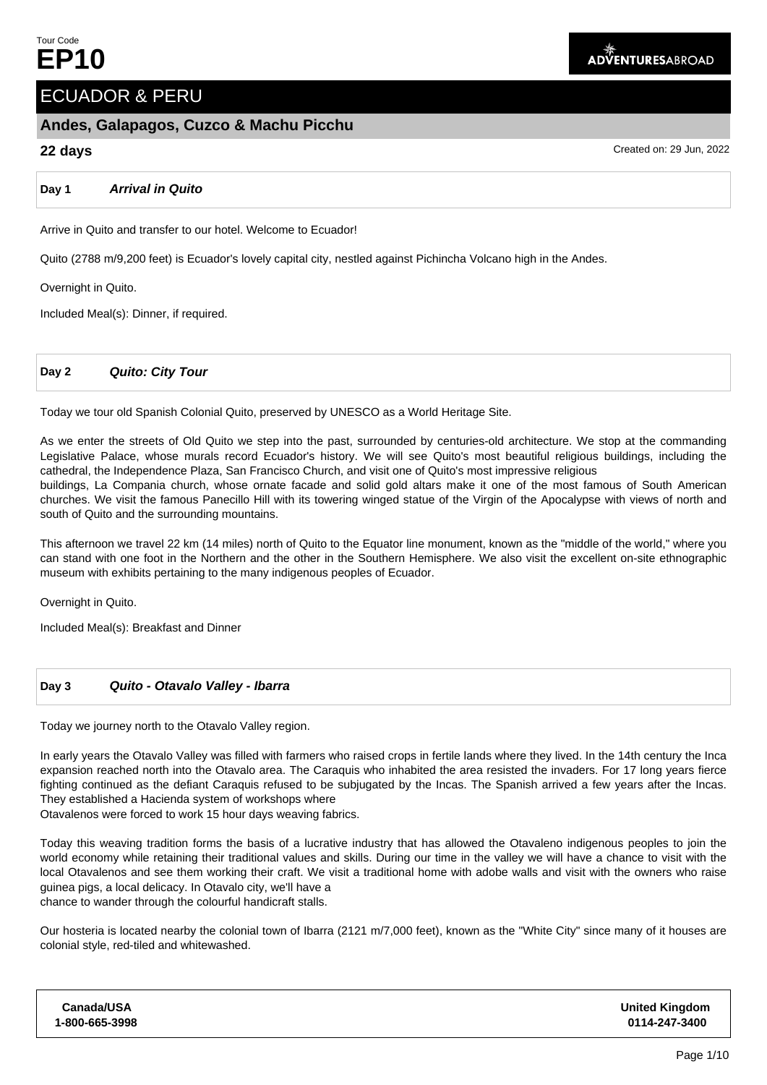# ECUADOR & PERU

## **Andes, Galapagos, Cuzco & Machu Picchu**

## **22 days** Created on: 29 Jun, 2022

**Day 1 Arrival in Quito**

Arrive in Quito and transfer to our hotel. Welcome to Ecuador!

Quito (2788 m/9,200 feet) is Ecuador's lovely capital city, nestled against Pichincha Volcano high in the Andes.

Overnight in Quito.

Included Meal(s): Dinner, if required.

**Day 2 Quito: City Tour**

Today we tour old Spanish Colonial Quito, preserved by UNESCO as a World Heritage Site.

As we enter the streets of Old Quito we step into the past, surrounded by centuries-old architecture. We stop at the commanding Legislative Palace, whose murals record Ecuador's history. We will see Quito's most beautiful religious buildings, including the cathedral, the Independence Plaza, San Francisco Church, and visit one of Quito's most impressive religious

buildings, La Compania church, whose ornate facade and solid gold altars make it one of the most famous of South American churches. We visit the famous Panecillo Hill with its towering winged statue of the Virgin of the Apocalypse with views of north and south of Quito and the surrounding mountains.

This afternoon we travel 22 km (14 miles) north of Quito to the Equator line monument, known as the "middle of the world," where you can stand with one foot in the Northern and the other in the Southern Hemisphere. We also visit the excellent on-site ethnographic museum with exhibits pertaining to the many indigenous peoples of Ecuador.

Overnight in Quito.

Included Meal(s): Breakfast and Dinner

## **Day 3 Quito - Otavalo Valley - Ibarra**

Today we journey north to the Otavalo Valley region.

In early years the Otavalo Valley was filled with farmers who raised crops in fertile lands where they lived. In the 14th century the Inca expansion reached north into the Otavalo area. The Caraquis who inhabited the area resisted the invaders. For 17 long years fierce fighting continued as the defiant Caraquis refused to be subjugated by the Incas. The Spanish arrived a few years after the Incas. They established a Hacienda system of workshops where

Otavalenos were forced to work 15 hour days weaving fabrics.

Today this weaving tradition forms the basis of a lucrative industry that has allowed the Otavaleno indigenous peoples to join the world economy while retaining their traditional values and skills. During our time in the valley we will have a chance to visit with the local Otavalenos and see them working their craft. We visit a traditional home with adobe walls and visit with the owners who raise guinea pigs, a local delicacy. In Otavalo city, we'll have a chance to wander through the colourful handicraft stalls.

Our hosteria is located nearby the colonial town of Ibarra (2121 m/7,000 feet), known as the "White City" since many of it houses are colonial style, red-tiled and whitewashed.

| Canada/USA     | <b>United Kingdom</b> |
|----------------|-----------------------|
| 1-800-665-3998 | 0114-247-3400         |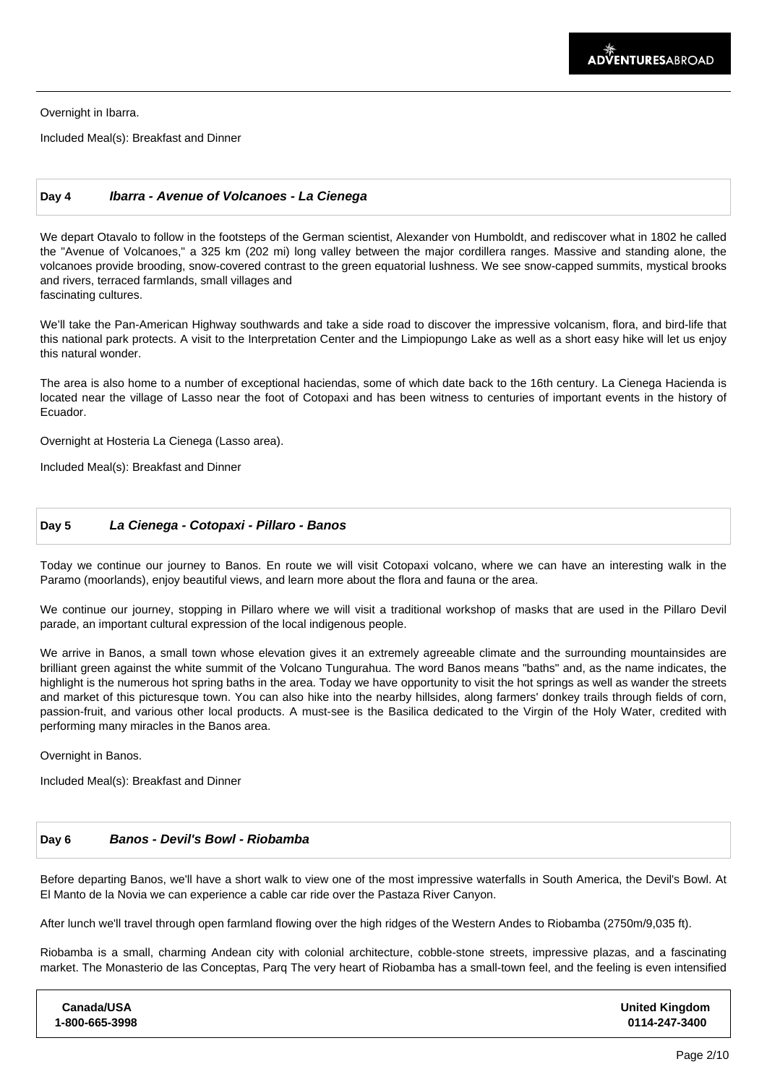Overnight in Ibarra.

Included Meal(s): Breakfast and Dinner

### **Day 4 Ibarra - Avenue of Volcanoes - La Cienega**

We depart Otavalo to follow in the footsteps of the German scientist, Alexander von Humboldt, and rediscover what in 1802 he called the "Avenue of Volcanoes," a 325 km (202 mi) long valley between the major cordillera ranges. Massive and standing alone, the volcanoes provide brooding, snow-covered contrast to the green equatorial lushness. We see snow-capped summits, mystical brooks and rivers, terraced farmlands, small villages and fascinating cultures.

We'll take the Pan-American Highway southwards and take a side road to discover the impressive volcanism, flora, and bird-life that this national park protects. A visit to the Interpretation Center and the Limpiopungo Lake as well as a short easy hike will let us enjoy this natural wonder.

The area is also home to a number of exceptional haciendas, some of which date back to the 16th century. La Cienega Hacienda is located near the village of Lasso near the foot of Cotopaxi and has been witness to centuries of important events in the history of Ecuador.

Overnight at Hosteria La Cienega (Lasso area).

Included Meal(s): Breakfast and Dinner

### **Day 5 La Cienega - Cotopaxi - Pillaro - Banos**

Today we continue our journey to Banos. En route we will visit Cotopaxi volcano, where we can have an interesting walk in the Paramo (moorlands), enjoy beautiful views, and learn more about the flora and fauna or the area.

We continue our journey, stopping in Pillaro where we will visit a traditional workshop of masks that are used in the Pillaro Devil parade, an important cultural expression of the local indigenous people.

We arrive in Banos, a small town whose elevation gives it an extremely agreeable climate and the surrounding mountainsides are brilliant green against the white summit of the Volcano Tungurahua. The word Banos means "baths" and, as the name indicates, the highlight is the numerous hot spring baths in the area. Today we have opportunity to visit the hot springs as well as wander the streets and market of this picturesque town. You can also hike into the nearby hillsides, along farmers' donkey trails through fields of corn, passion-fruit, and various other local products. A must-see is the Basilica dedicated to the Virgin of the Holy Water, credited with performing many miracles in the Banos area.

Overnight in Banos.

Included Meal(s): Breakfast and Dinner

#### **Day 6 Banos - Devil's Bowl - Riobamba**

Before departing Banos, we'll have a short walk to view one of the most impressive waterfalls in South America, the Devil's Bowl. At El Manto de la Novia we can experience a cable car ride over the Pastaza River Canyon.

After lunch we'll travel through open farmland flowing over the high ridges of the Western Andes to Riobamba (2750m/9,035 ft).

Riobamba is a small, charming Andean city with colonial architecture, cobble-stone streets, impressive plazas, and a fascinating market. The Monasterio de las Conceptas, Parq The very heart of Riobamba has a small-town feel, and the feeling is even intensified

| Canada/USA     | <b>United Kingdom</b> |
|----------------|-----------------------|
| 1-800-665-3998 | 0114-247-3400         |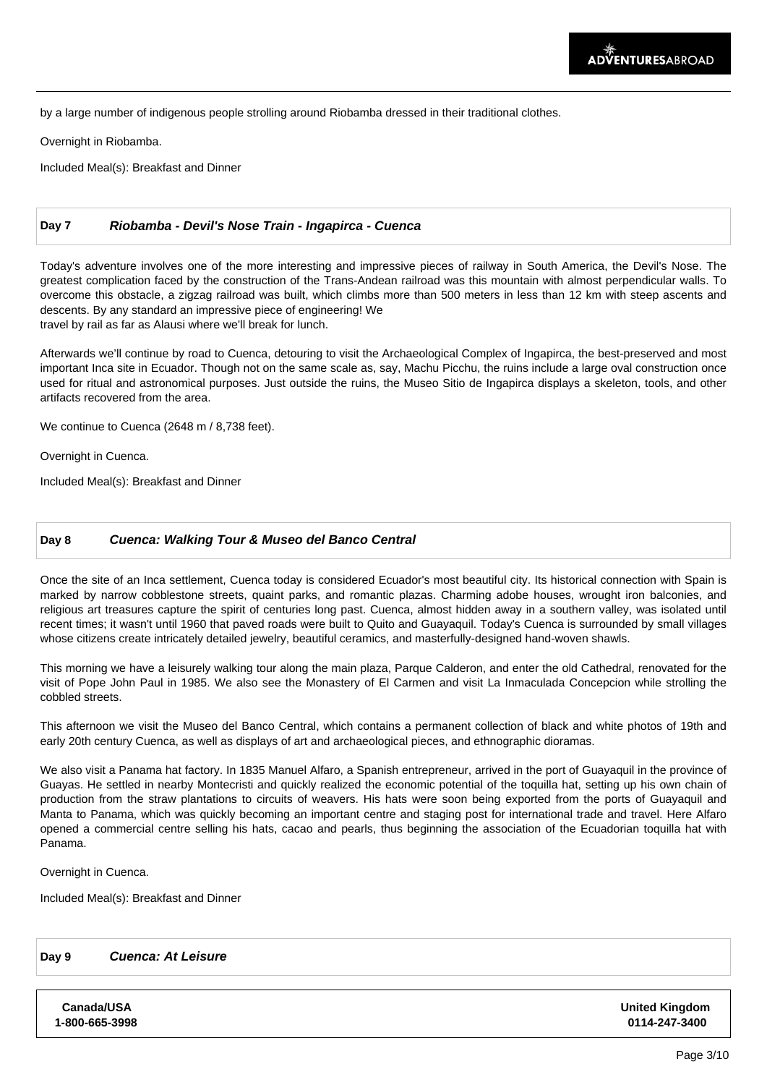by a large number of indigenous people strolling around Riobamba dressed in their traditional clothes.

Overnight in Riobamba.

Included Meal(s): Breakfast and Dinner

## **Day 7 Riobamba - Devil's Nose Train - Ingapirca - Cuenca**

Today's adventure involves one of the more interesting and impressive pieces of railway in South America, the Devil's Nose. The greatest complication faced by the construction of the Trans-Andean railroad was this mountain with almost perpendicular walls. To overcome this obstacle, a zigzag railroad was built, which climbs more than 500 meters in less than 12 km with steep ascents and descents. By any standard an impressive piece of engineering! We travel by rail as far as Alausi where we'll break for lunch.

Afterwards we'll continue by road to Cuenca, detouring to visit the Archaeological Complex of Ingapirca, the best-preserved and most important Inca site in Ecuador. Though not on the same scale as, say, Machu Picchu, the ruins include a large oval construction once used for ritual and astronomical purposes. Just outside the ruins, the Museo Sitio de Ingapirca displays a skeleton, tools, and other artifacts recovered from the area.

We continue to Cuenca (2648 m / 8,738 feet).

Overnight in Cuenca.

Included Meal(s): Breakfast and Dinner

### **Day 8 Cuenca: Walking Tour & Museo del Banco Central**

Once the site of an Inca settlement, Cuenca today is considered Ecuador's most beautiful city. Its historical connection with Spain is marked by narrow cobblestone streets, quaint parks, and romantic plazas. Charming adobe houses, wrought iron balconies, and religious art treasures capture the spirit of centuries long past. Cuenca, almost hidden away in a southern valley, was isolated until recent times; it wasn't until 1960 that paved roads were built to Quito and Guayaquil. Today's Cuenca is surrounded by small villages whose citizens create intricately detailed jewelry, beautiful ceramics, and masterfully-designed hand-woven shawls.

This morning we have a leisurely walking tour along the main plaza, Parque Calderon, and enter the old Cathedral, renovated for the visit of Pope John Paul in 1985. We also see the Monastery of El Carmen and visit La Inmaculada Concepcion while strolling the cobbled streets.

This afternoon we visit the Museo del Banco Central, which contains a permanent collection of black and white photos of 19th and early 20th century Cuenca, as well as displays of art and archaeological pieces, and ethnographic dioramas.

We also visit a Panama hat factory. In 1835 Manuel Alfaro, a Spanish entrepreneur, arrived in the port of Guayaquil in the province of Guayas. He settled in nearby Montecristi and quickly realized the economic potential of the toquilla hat, setting up his own chain of production from the straw plantations to circuits of weavers. His hats were soon being exported from the ports of Guayaquil and Manta to Panama, which was quickly becoming an important centre and staging post for international trade and travel. Here Alfaro opened a commercial centre selling his hats, cacao and pearls, thus beginning the association of the Ecuadorian toquilla hat with Panama.

Overnight in Cuenca.

Included Meal(s): Breakfast and Dinner

## **Day 9 Cuenca: At Leisure**

**Canada/USA 1-800-665-3998** **United Kingdom 0114-247-3400**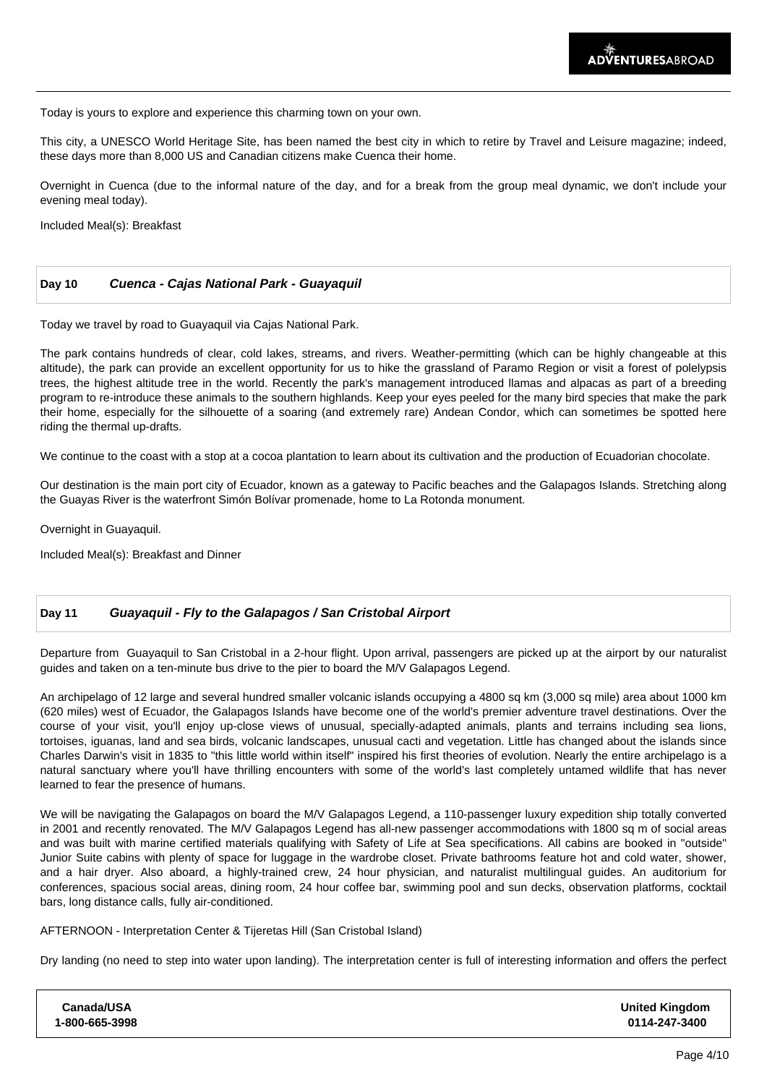Today is yours to explore and experience this charming town on your own.

This city, a UNESCO World Heritage Site, has been named the best city in which to retire by Travel and Leisure magazine; indeed, these days more than 8,000 US and Canadian citizens make Cuenca their home.

Overnight in Cuenca (due to the informal nature of the day, and for a break from the group meal dynamic, we don't include your evening meal today).

Included Meal(s): Breakfast

| <b>Day 10</b> | Cuenca - Cajas National Park - Guayaquil |  |
|---------------|------------------------------------------|--|
|---------------|------------------------------------------|--|

Today we travel by road to Guayaquil via Cajas National Park.

The park contains hundreds of clear, cold lakes, streams, and rivers. Weather-permitting (which can be highly changeable at this altitude), the park can provide an excellent opportunity for us to hike the grassland of Paramo Region or visit a forest of polelypsis trees, the highest altitude tree in the world. Recently the park's management introduced llamas and alpacas as part of a breeding program to re-introduce these animals to the southern highlands. Keep your eyes peeled for the many bird species that make the park their home, especially for the silhouette of a soaring (and extremely rare) Andean Condor, which can sometimes be spotted here riding the thermal up-drafts.

We continue to the coast with a stop at a cocoa plantation to learn about its cultivation and the production of Ecuadorian chocolate.

Our destination is the main port city of Ecuador, known as a gateway to Pacific beaches and the Galapagos Islands. Stretching along the Guayas River is the waterfront Simón Bolívar promenade, home to La Rotonda monument.

Overnight in Guayaquil.

Included Meal(s): Breakfast and Dinner

### **Day 11 Guayaquil - Fly to the Galapagos / San Cristobal Airport**

Departure from Guayaquil to San Cristobal in a 2-hour flight. Upon arrival, passengers are picked up at the airport by our naturalist guides and taken on a ten-minute bus drive to the pier to board the M/V Galapagos Legend.

An archipelago of 12 large and several hundred smaller volcanic islands occupying a 4800 sq km (3,000 sq mile) area about 1000 km (620 miles) west of Ecuador, the Galapagos Islands have become one of the world's premier adventure travel destinations. Over the course of your visit, you'll enjoy up-close views of unusual, specially-adapted animals, plants and terrains including sea lions, tortoises, iguanas, land and sea birds, volcanic landscapes, unusual cacti and vegetation. Little has changed about the islands since Charles Darwin's visit in 1835 to "this little world within itself" inspired his first theories of evolution. Nearly the entire archipelago is a natural sanctuary where you'll have thrilling encounters with some of the world's last completely untamed wildlife that has never learned to fear the presence of humans. 

We will be navigating the Galapagos on board the M/V Galapagos Legend, a 110-passenger luxury expedition ship totally converted in 2001 and recently renovated. The M/V Galapagos Legend has all-new passenger accommodations with 1800 sq m of social areas and was built with marine certified materials qualifying with Safety of Life at Sea specifications. All cabins are booked in "outside" Junior Suite cabins with plenty of space for luggage in the wardrobe closet. Private bathrooms feature hot and cold water, shower, and a hair dryer. Also aboard, a highly-trained crew, 24 hour physician, and naturalist multilingual guides. An auditorium for conferences, spacious social areas, dining room, 24 hour coffee bar, swimming pool and sun decks, observation platforms, cocktail bars, long distance calls, fully air-conditioned.

AFTERNOON - Interpretation Center & Tijeretas Hill (San Cristobal Island)

Dry landing (no need to step into water upon landing). The interpretation center is full of interesting information and offers the perfect

| Canada/USA     | <b>United Kingdom</b> |
|----------------|-----------------------|
| 1-800-665-3998 | 0114-247-3400         |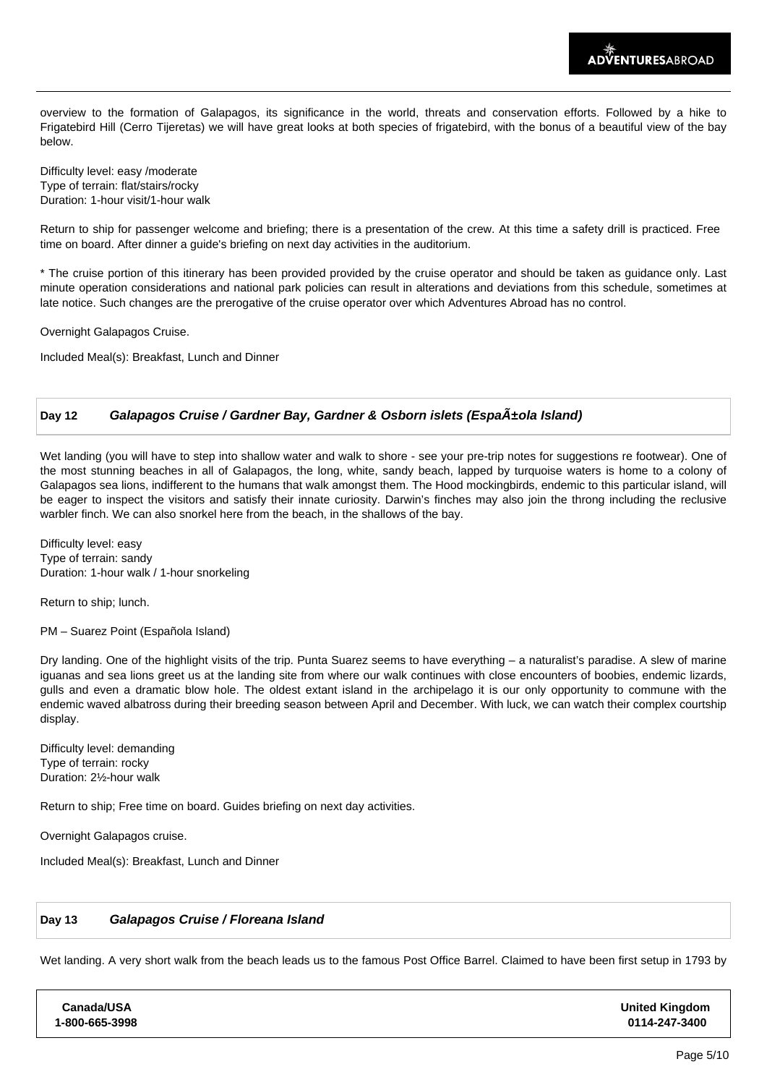overview to the formation of Galapagos, its significance in the world, threats and conservation efforts. Followed by a hike to Frigatebird Hill (Cerro Tijeretas) we will have great looks at both species of frigatebird, with the bonus of a beautiful view of the bay below.

Difficulty level: easy /moderate Type of terrain: flat/stairs/rocky Duration: 1-hour visit/1-hour walk

Return to ship for passenger welcome and briefing; there is a presentation of the crew. At this time a safety drill is practiced. Free time on board. After dinner a guide's briefing on next day activities in the auditorium. 

\* The cruise portion of this itinerary has been provided provided by the cruise operator and should be taken as guidance only. Last minute operation considerations and national park policies can result in alterations and deviations from this schedule, sometimes at late notice. Such changes are the prerogative of the cruise operator over which Adventures Abroad has no control.

Overnight Galapagos Cruise.

Included Meal(s): Breakfast, Lunch and Dinner

## Day 12 **Galapagos Cruise / Gardner Bay, Gardner & Osborn islets (Espa** $\tilde{A}$ **±ola Island)**

Wet landing (you will have to step into shallow water and walk to shore - see your pre-trip notes for suggestions re footwear). One of the most stunning beaches in all of Galapagos, the long, white, sandy beach, lapped by turquoise waters is home to a colony of Galapagos sea lions, indifferent to the humans that walk amongst them. The Hood mockingbirds, endemic to this particular island, will be eager to inspect the visitors and satisfy their innate curiosity. Darwin's finches may also join the throng including the reclusive warbler finch. We can also snorkel here from the beach, in the shallows of the bay.

Difficulty level: easy Type of terrain: sandy Duration: 1-hour walk / 1-hour snorkeling

Return to ship; lunch.

PM – Suarez Point (Española Island)

Dry landing. One of the highlight visits of the trip. Punta Suarez seems to have everything – a naturalist's paradise. A slew of marine iguanas and sea lions greet us at the landing site from where our walk continues with close encounters of boobies, endemic lizards, gulls and even a dramatic blow hole. The oldest extant island in the archipelago it is our only opportunity to commune with the endemic waved albatross during their breeding season between April and December. With luck, we can watch their complex courtship display.

Difficulty level: demanding Type of terrain: rocky Duration: 2½-hour walk

Return to ship; Free time on board. Guides briefing on next day activities.

Overnight Galapagos cruise.

Included Meal(s): Breakfast, Lunch and Dinner

## **Day 13 Galapagos Cruise / Floreana Island**

Wet landing. A very short walk from the beach leads us to the famous Post Office Barrel. Claimed to have been first setup in 1793 by

| <b>United Kingdom</b><br>0114-247-3400 |
|----------------------------------------|
|                                        |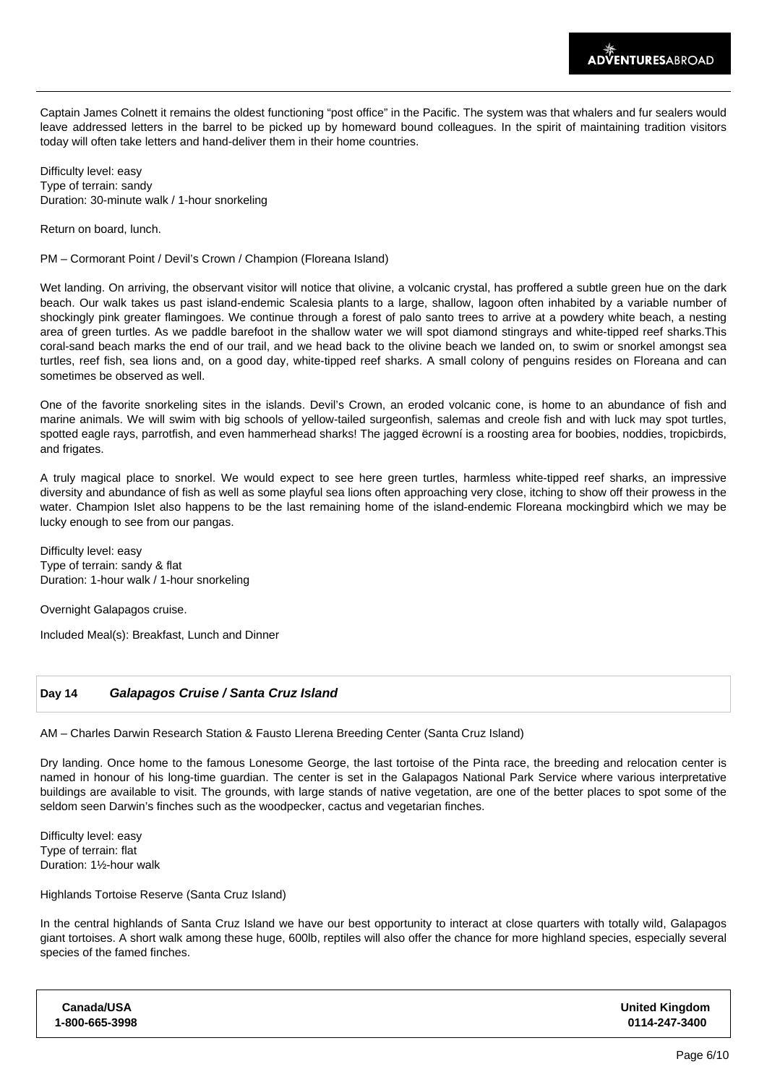Captain James Colnett it remains the oldest functioning "post office" in the Pacific. The system was that whalers and fur sealers would leave addressed letters in the barrel to be picked up by homeward bound colleagues. In the spirit of maintaining tradition visitors today will often take letters and hand-deliver them in their home countries.

Difficulty level: easy Type of terrain: sandy Duration: 30-minute walk / 1-hour snorkeling

Return on board, lunch.

PM – Cormorant Point / Devil's Crown / Champion (Floreana Island)

Wet landing. On arriving, the observant visitor will notice that olivine, a volcanic crystal, has proffered a subtle green hue on the dark beach. Our walk takes us past island-endemic Scalesia plants to a large, shallow, lagoon often inhabited by a variable number of shockingly pink greater flamingoes. We continue through a forest of palo santo trees to arrive at a powdery white beach, a nesting area of green turtles. As we paddle barefoot in the shallow water we will spot diamond stingrays and white-tipped reef sharks.This coral-sand beach marks the end of our trail, and we head back to the olivine beach we landed on, to swim or snorkel amongst sea turtles, reef fish, sea lions and, on a good day, white-tipped reef sharks. A small colony of penguins resides on Floreana and can sometimes be observed as well.

One of the favorite snorkeling sites in the islands. Devil's Crown, an eroded volcanic cone, is home to an abundance of fish and marine animals. We will swim with big schools of yellow-tailed surgeonfish, salemas and creole fish and with luck may spot turtles, spotted eagle rays, parrotfish, and even hammerhead sharks! The jagged ëcrowní is a roosting area for boobies, noddies, tropicbirds, and frigates.

A truly magical place to snorkel. We would expect to see here green turtles, harmless white-tipped reef sharks, an impressive diversity and abundance of fish as well as some playful sea lions often approaching very close, itching to show off their prowess in the water. Champion Islet also happens to be the last remaining home of the island-endemic Floreana mockingbird which we may be lucky enough to see from our pangas.

Difficulty level: easy Type of terrain: sandy & flat Duration: 1-hour walk / 1-hour snorkeling

Overnight Galapagos cruise.

Included Meal(s): Breakfast, Lunch and Dinner

## **Day 14 Galapagos Cruise / Santa Cruz Island**

AM – Charles Darwin Research Station & Fausto Llerena Breeding Center (Santa Cruz Island)

Dry landing. Once home to the famous Lonesome George, the last tortoise of the Pinta race, the breeding and relocation center is named in honour of his long-time guardian. The center is set in the Galapagos National Park Service where various interpretative buildings are available to visit. The grounds, with large stands of native vegetation, are one of the better places to spot some of the seldom seen Darwin's finches such as the woodpecker, cactus and vegetarian finches.

Difficulty level: easy Type of terrain: flat Duration: 1½-hour walk

Highlands Tortoise Reserve (Santa Cruz Island)

In the central highlands of Santa Cruz Island we have our best opportunity to interact at close quarters with totally wild, Galapagos giant tortoises. A short walk among these huge, 600lb, reptiles will also offer the chance for more highland species, especially several species of the famed finches.

| Canada/USA     | <b>United Kingdom</b> |
|----------------|-----------------------|
| 1-800-665-3998 | 0114-247-3400         |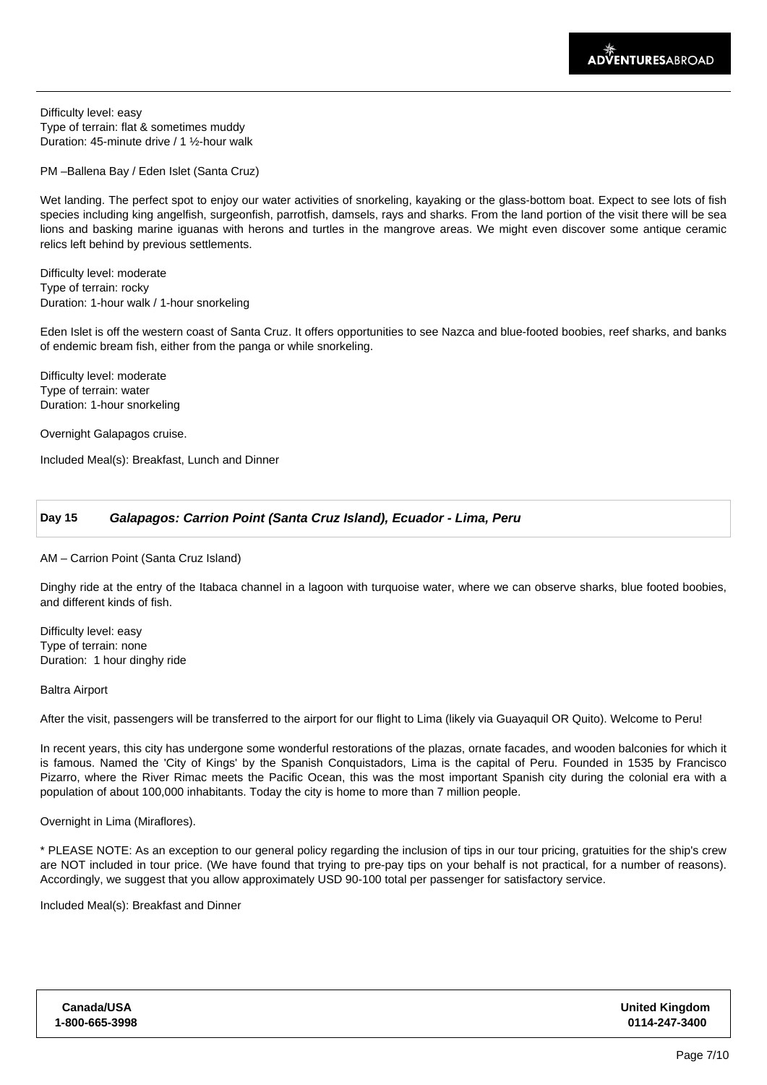Difficulty level: easy Type of terrain: flat & sometimes muddy Duration: 45-minute drive / 1 ½-hour walk

PM –Ballena Bay / Eden Islet (Santa Cruz)

Wet landing. The perfect spot to enjoy our water activities of snorkeling, kayaking or the glass-bottom boat. Expect to see lots of fish species including king angelfish, surgeonfish, parrotfish, damsels, rays and sharks. From the land portion of the visit there will be sea lions and basking marine iguanas with herons and turtles in the mangrove areas. We might even discover some antique ceramic relics left behind by previous settlements.

Difficulty level: moderate Type of terrain: rocky Duration: 1-hour walk / 1-hour snorkeling

Eden Islet is off the western coast of Santa Cruz. It offers opportunities to see Nazca and blue-footed boobies, reef sharks, and banks of endemic bream fish, either from the panga or while snorkeling.

Difficulty level: moderate Type of terrain: water Duration: 1-hour snorkeling

Overnight Galapagos cruise.

Included Meal(s): Breakfast, Lunch and Dinner

## **Day 15 Galapagos: Carrion Point (Santa Cruz Island), Ecuador - Lima, Peru**

#### AM – Carrion Point (Santa Cruz Island)

Dinghy ride at the entry of the Itabaca channel in a lagoon with turquoise water, where we can observe sharks, blue footed boobies, and different kinds of fish.

Difficulty level: easy Type of terrain: none Duration: 1 hour dinghy ride

#### Baltra Airport

After the visit, passengers will be transferred to the airport for our flight to Lima (likely via Guayaquil OR Quito). Welcome to Peru!

In recent years, this city has undergone some wonderful restorations of the plazas, ornate facades, and wooden balconies for which it is famous. Named the 'City of Kings' by the Spanish Conquistadors, Lima is the capital of Peru. Founded in 1535 by Francisco Pizarro, where the River Rimac meets the Pacific Ocean, this was the most important Spanish city during the colonial era with a population of about 100,000 inhabitants. Today the city is home to more than 7 million people.

Overnight in Lima (Miraflores).

\* PLEASE NOTE: As an exception to our general policy regarding the inclusion of tips in our tour pricing, gratuities for the ship's crew are NOT included in tour price. (We have found that trying to pre-pay tips on your behalf is not practical, for a number of reasons). Accordingly, we suggest that you allow approximately USD 90-100 total per passenger for satisfactory service.

Included Meal(s): Breakfast and Dinner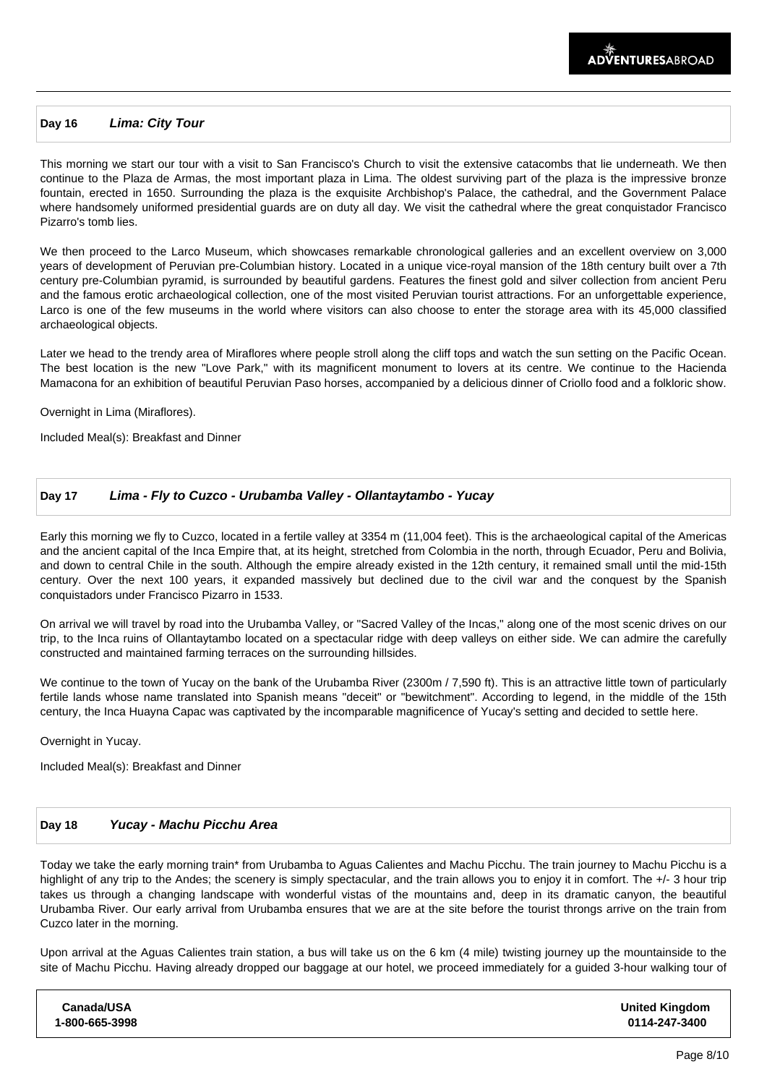### **Day 16 Lima: City Tour**

This morning we start our tour with a visit to San Francisco's Church to visit the extensive catacombs that lie underneath. We then continue to the Plaza de Armas, the most important plaza in Lima. The oldest surviving part of the plaza is the impressive bronze fountain, erected in 1650. Surrounding the plaza is the exquisite Archbishop's Palace, the cathedral, and the Government Palace where handsomely uniformed presidential guards are on duty all day. We visit the cathedral where the great conquistador Francisco Pizarro's tomb lies.

We then proceed to the Larco Museum, which showcases remarkable chronological galleries and an excellent overview on 3,000 years of development of Peruvian pre-Columbian history. Located in a unique vice-royal mansion of the 18th century built over a 7th century pre-Columbian pyramid, is surrounded by beautiful gardens. Features the finest gold and silver collection from ancient Peru and the famous erotic archaeological collection, one of the most visited Peruvian tourist attractions. For an unforgettable experience, Larco is one of the few museums in the world where visitors can also choose to enter the storage area with its 45,000 classified archaeological objects.

Later we head to the trendy area of Miraflores where people stroll along the cliff tops and watch the sun setting on the Pacific Ocean. The best location is the new "Love Park," with its magnificent monument to lovers at its centre. We continue to the Hacienda Mamacona for an exhibition of beautiful Peruvian Paso horses, accompanied by a delicious dinner of Criollo food and a folkloric show.

Overnight in Lima (Miraflores).

Included Meal(s): Breakfast and Dinner

## **Day 17 Lima - Fly to Cuzco - Urubamba Valley - Ollantaytambo - Yucay**

Early this morning we fly to Cuzco, located in a fertile valley at 3354 m (11,004 feet). This is the archaeological capital of the Americas and the ancient capital of the Inca Empire that, at its height, stretched from Colombia in the north, through Ecuador, Peru and Bolivia, and down to central Chile in the south. Although the empire already existed in the 12th century, it remained small until the mid-15th century. Over the next 100 years, it expanded massively but declined due to the civil war and the conquest by the Spanish conquistadors under Francisco Pizarro in 1533.

On arrival we will travel by road into the Urubamba Valley, or "Sacred Valley of the Incas," along one of the most scenic drives on our trip, to the Inca ruins of Ollantaytambo located on a spectacular ridge with deep valleys on either side. We can admire the carefully constructed and maintained farming terraces on the surrounding hillsides.

We continue to the town of Yucay on the bank of the Urubamba River (2300m / 7,590 ft). This is an attractive little town of particularly fertile lands whose name translated into Spanish means "deceit" or "bewitchment". According to legend, in the middle of the 15th century, the Inca Huayna Capac was captivated by the incomparable magnificence of Yucay's setting and decided to settle here.

Overnight in Yucay.

Included Meal(s): Breakfast and Dinner

### **Day 18 Yucay - Machu Picchu Area**

Today we take the early morning train\* from Urubamba to Aguas Calientes and Machu Picchu. The train journey to Machu Picchu is a highlight of any trip to the Andes; the scenery is simply spectacular, and the train allows you to enjoy it in comfort. The +/- 3 hour trip takes us through a changing landscape with wonderful vistas of the mountains and, deep in its dramatic canyon, the beautiful Urubamba River. Our early arrival from Urubamba ensures that we are at the site before the tourist throngs arrive on the train from Cuzco later in the morning.

Upon arrival at the Aguas Calientes train station, a bus will take us on the 6 km (4 mile) twisting journey up the mountainside to the site of Machu Picchu. Having already dropped our baggage at our hotel, we proceed immediately for a guided 3-hour walking tour of

| Canada/USA<br>1-800-665-3998 |
|------------------------------|
|------------------------------|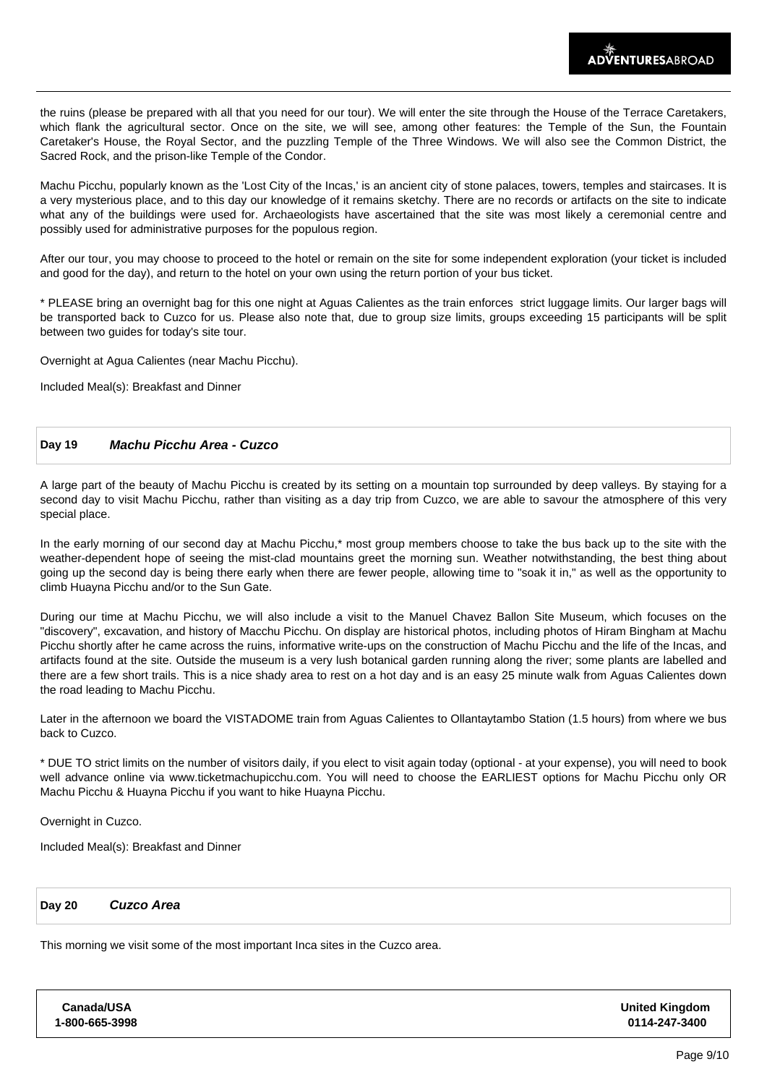the ruins (please be prepared with all that you need for our tour). We will enter the site through the House of the Terrace Caretakers, which flank the agricultural sector. Once on the site, we will see, among other features: the Temple of the Sun, the Fountain Caretaker's House, the Royal Sector, and the puzzling Temple of the Three Windows. We will also see the Common District, the Sacred Rock, and the prison-like Temple of the Condor.

Machu Picchu, popularly known as the 'Lost City of the Incas,' is an ancient city of stone palaces, towers, temples and staircases. It is a very mysterious place, and to this day our knowledge of it remains sketchy. There are no records or artifacts on the site to indicate what any of the buildings were used for. Archaeologists have ascertained that the site was most likely a ceremonial centre and possibly used for administrative purposes for the populous region.

After our tour, you may choose to proceed to the hotel or remain on the site for some independent exploration (your ticket is included and good for the day), and return to the hotel on your own using the return portion of your bus ticket.

\* PLEASE bring an overnight bag for this one night at Aguas Calientes as the train enforces strict luggage limits. Our larger bags will be transported back to Cuzco for us. Please also note that, due to group size limits, groups exceeding 15 participants will be split between two guides for today's site tour.

Overnight at Agua Calientes (near Machu Picchu).

Included Meal(s): Breakfast and Dinner

## **Day 19 Machu Picchu Area - Cuzco**

A large part of the beauty of Machu Picchu is created by its setting on a mountain top surrounded by deep valleys. By staying for a second day to visit Machu Picchu, rather than visiting as a day trip from Cuzco, we are able to savour the atmosphere of this very special place.

In the early morning of our second day at Machu Picchu,\* most group members choose to take the bus back up to the site with the weather-dependent hope of seeing the mist-clad mountains greet the morning sun. Weather notwithstanding, the best thing about going up the second day is being there early when there are fewer people, allowing time to "soak it in," as well as the opportunity to climb Huayna Picchu and/or to the Sun Gate.

During our time at Machu Picchu, we will also include a visit to the Manuel Chavez Ballon Site Museum, which focuses on the "discovery", excavation, and history of Macchu Picchu. On display are historical photos, including photos of Hiram Bingham at Machu Picchu shortly after he came across the ruins, informative write-ups on the construction of Machu Picchu and the life of the Incas, and artifacts found at the site. Outside the museum is a very lush botanical garden running along the river; some plants are labelled and there are a few short trails. This is a nice shady area to rest on a hot day and is an easy 25 minute walk from Aguas Calientes down the road leading to Machu Picchu.

Later in the afternoon we board the VISTADOME train from Aguas Calientes to Ollantaytambo Station (1.5 hours) from where we bus back to Cuzco.

\* DUE TO strict limits on the number of visitors daily, if you elect to visit again today (optional - at your expense), you will need to book well advance online via www.ticketmachupicchu.com. You will need to choose the EARLIEST options for Machu Picchu only OR Machu Picchu & Huayna Picchu if you want to hike Huayna Picchu.

Overnight in Cuzco.

Included Meal(s): Breakfast and Dinner

| Day 20 | Cuzco Area |
|--------|------------|
|--------|------------|

This morning we visit some of the most important Inca sites in the Cuzco area.

| Canada/USA     | <b>United Kingdom</b> |
|----------------|-----------------------|
| 1-800-665-3998 | 0114-247-3400         |